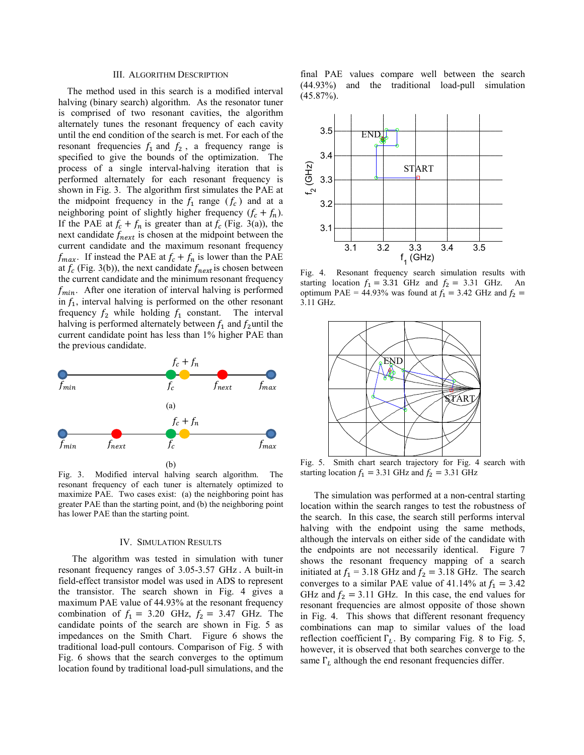### III. ALGORITHM DESCRIPTION

The method used in this search is a modified interval halving (binary search) algorithm. As the resonator tuner is comprised of two resonant cavities, the algorithm alternately tunes the resonant frequency of each cavity until the end condition of the search is met. For each of the resonant frequencies  $f_1$  and  $f_2$ , a frequency range is specified to give the bounds of the optimization. The process of a single interval-halving iteration that is performed alternately for each resonant frequency is shown in Fig. 3. The algorithm first simulates the PAE at the midpoint frequency in the  $f_1$  range  $(f_c)$  and at a neighboring point of slightly higher frequency  $(f_c + f_n)$ . If the PAE at  $f_c + f_n$  is greater than at  $f_c$  (Fig. 3(a)), the next candidate  $f_{next}$  is chosen at the midpoint between the current candidate and the maximum resonant frequency  $f_{max}$ . If instead the PAE at  $f_c + f_n$  is lower than the PAE at  $f_c$  (Fig. 3(b)), the next candidate  $f_{next}$  is chosen between the current candidate and the minimum resonant frequency  $f_{min}$ . After one iteration of interval halving is performed in  $f_1$ , interval halving is performed on the other resonant frequency  $f_2$  while holding  $f_1$  constant. The interval halving is performed alternately between  $f_1$  and  $f_2$ until the current candidate point has less than 1% higher PAE than the previous candidate.



Fig. 3. Modified interval halving search algorithm. The resonant frequency of each tuner is alternately optimized to maximize PAE. Two cases exist: (a) the neighboring point has greater PAE than the starting point, and (b) the neighboring point has lower PAE than the starting point.

## IV. SIMULATION RESULTS

The algorithm was tested in simulation with tuner resonant frequency ranges of 3.05-3.57 GHz . A built-in field-effect transistor model was used in ADS to represent the transistor. The search shown in Fig. 4 gives a maximum PAE value of 44.93% at the resonant frequency combination of  $f_1 = 3.20$  GHz,  $f_2 = 3.47$  GHz. The candidate points of the search are shown in Fig. 5 as impedances on the Smith Chart. Figure 6 shows the traditional load-pull contours. Comparison of Fig. 5 with Fig. 6 shows that the search converges to the optimum location found by traditional load-pull simulations, and the final PAE values compare well between the search (44.93%) and the traditional load-pull simulation (45.87%).



Fig. 4. Resonant frequency search simulation results with starting location  $f_1 = 3.31$  GHz and  $f_2 = 3.31$  GHz. An optimum PAE = 44.93% was found at  $f_1 = 3.42$  GHz and  $f_2$  = 3.11 GHz.



Fig. 5. Smith chart search trajectory for Fig. 4 search with starting location  $f_1 = 3.31$  GHz and  $f_2 = 3.31$  GHz

The simulation was performed at a non-central starting location within the search ranges to test the robustness of the search. In this case, the search still performs interval halving with the endpoint using the same methods, although the intervals on either side of the candidate with the endpoints are not necessarily identical. Figure 7 shows the resonant frequency mapping of a search initiated at  $f_1 = 3.18$  GHz and  $f_2 = 3.18$  GHz. The search converges to a similar PAE value of 41.14% at  $f_1 = 3.42$ GHz and  $f_2 = 3.11$  GHz. In this case, the end values for resonant frequencies are almost opposite of those shown in Fig. 4. This shows that different resonant frequency combinations can map to similar values of the load reflection coefficient  $\Gamma_L$ . By comparing Fig. 8 to Fig. 5, however, it is observed that both searches converge to the same  $\Gamma_L$  although the end resonant frequencies differ.